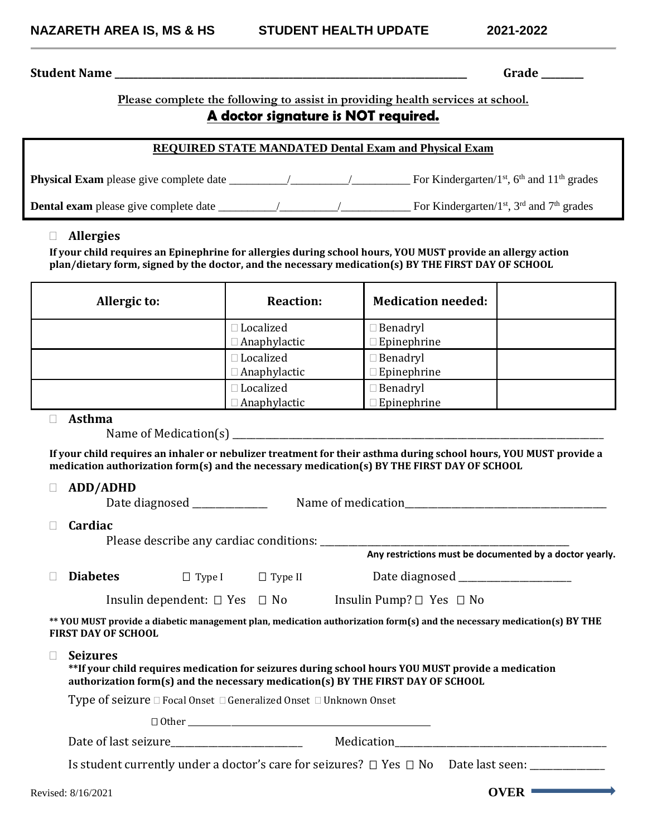# **Student Name \_\_\_\_\_\_\_\_\_\_\_\_\_\_\_\_\_\_\_\_\_\_\_\_\_\_\_\_\_\_\_\_\_\_\_\_\_\_\_\_\_\_\_\_\_\_\_\_\_\_\_\_\_\_\_\_\_\_\_\_\_\_\_\_\_\_\_\_\_\_\_\_\_\_\_ Grade \_\_\_\_\_\_\_\_\_**

**Please complete the following to assist in providing health services at school.**

# **A doctor signature is NOT required.**

#### **REQUIRED STATE MANDATED Dental Exam and Physical Exam**

| <b>Physical Exam</b> please give complete date |  | For Kindergarten/ $1st$ , 6 <sup>th</sup> and $11th$ grades |
|------------------------------------------------|--|-------------------------------------------------------------|
| <b>Dental exam</b> please give complete date   |  | For Kindergarten/ $1st$ , $3rd$ and $7th$ grades            |

### **Allergies**

**If your child requires an Epinephrine for allergies during school hours, YOU MUST provide an allergy action plan/dietary form, signed by the doctor, and the necessary medication(s) BY THE FIRST DAY OF SCHOOL**

| Allergic to: | <b>Reaction:</b>    | <b>Medication needed:</b> |  |
|--------------|---------------------|---------------------------|--|
|              | Localized           | <b>Benadryl</b>           |  |
|              | □ Anaphylactic      | <b>Epinephrine</b>        |  |
|              | Localized           | <b>Benadryl</b>           |  |
|              | □ Anaphylactic      | Epinephrine               |  |
|              | Localized           | <b>Benadryl</b>           |  |
|              | <b>Anaphylactic</b> | <b>Epinephrine</b>        |  |

# **Asthma**

Name of Medication(s) \_\_\_\_\_\_\_\_\_\_\_\_\_\_\_\_\_\_\_\_\_\_\_\_\_\_\_\_\_\_\_\_\_\_\_\_\_\_\_\_\_\_\_\_\_\_\_\_\_\_\_\_\_\_\_\_\_\_\_\_\_\_\_\_\_\_\_\_\_\_\_\_\_\_\_\_\_\_\_

**If your child requires an inhaler or nebulizer treatment for their asthma during school hours, YOU MUST provide a medication authorization form(s) and the necessary medication(s) BY THE FIRST DAY OF SCHOOL**

#### **ADD/ADHD**

| Date diagnosed | Name of medication |
|----------------|--------------------|
| $\Box$ Cardiac |                    |

Please describe any cardiac conditions: \_\_\_\_\_\_\_\_\_\_\_\_\_\_\_\_\_\_\_\_\_\_\_\_\_\_\_\_\_\_\_\_\_\_\_\_\_\_\_\_\_\_\_\_\_\_\_\_\_\_\_\_\_

| $\Box$ Diabetes | $\Box$ Type |  |
|-----------------|-------------|--|
|                 |             |  |

I Date diagnosed **D** Type II **Date diagnosed** 

Insulin dependent: □ Yes □ No Insulin Pump? □ Yes □ No

**\*\* YOU MUST provide a diabetic management plan, medication authorization form(s) and the necessary medication(s) BY THE FIRST DAY OF SCHOOL**

**Seizures**

**\*\*If your child requires medication for seizures during school hours YOU MUST provide a medication authorization form(s) and the necessary medication(s) BY THE FIRST DAY OF SCHOOL**

Type of seizure  $\Box$  Focal Onset  $\Box$  Generalized Onset  $\Box$  Unknown Onset

Other \_\_\_\_\_\_\_\_\_\_\_\_\_\_\_\_\_\_\_\_\_\_\_\_\_\_\_\_\_\_\_\_\_\_\_\_\_\_\_\_\_\_\_\_\_\_\_\_\_\_\_\_\_\_\_\_\_\_\_\_\_\_

Date of last seizure\_\_\_\_\_\_\_\_\_\_\_\_\_\_\_\_\_\_\_\_\_\_\_\_\_\_\_\_ Medication\_\_\_\_\_\_\_\_\_\_\_\_\_\_\_\_\_\_\_\_\_\_\_\_\_\_\_\_\_\_\_\_\_\_\_\_\_\_\_\_\_\_\_\_\_

Is student currently under a doctor's care for seizures? Yes No Date last seen: \_\_\_\_\_\_\_\_\_\_\_\_\_\_\_\_

**Any restrictions must be documented by a doctor yearly.**